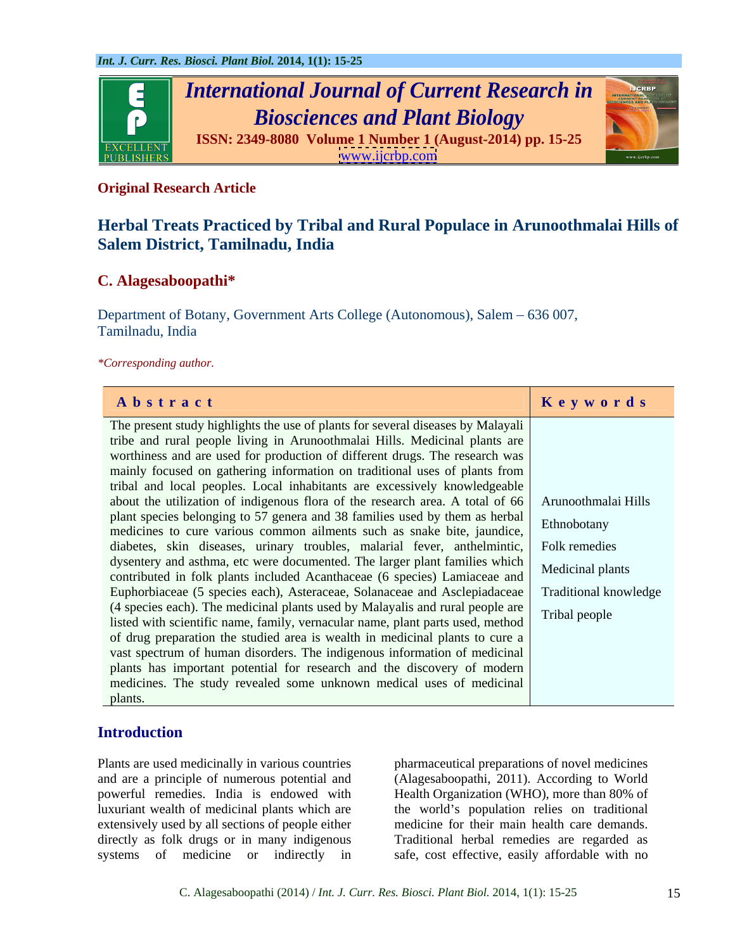

## **Original Research Article**

# **Herbal Treats Practiced by Tribal and Rural Populace in Arunoothmalai Hills of Salem District, Tamilnadu, India**

## **C. Alagesaboopathi\***

Department of Botany, Government Arts College (Autonomous), Salem – 636 007, Tamilnadu, India

*\*Corresponding author.*

| Abstract                                                                                          | Keywords |
|---------------------------------------------------------------------------------------------------|----------|
| The present study highlights the use of plants for several diseases by Malayali                   |          |
| tribe and rural people living in Arunoothmalai Hills. Medicinal plants are                        |          |
| worthiness and are used for production of different drugs. The research was                       |          |
| mainly focused on gathering information on traditional uses of plants from                        |          |
| tribal and local peoples. Local inhabitants are excessively knowledgeable                         |          |
| about the utilization of indigenous flora of the research area. A total of 66 Arunoothmalai Hills |          |
| plant species belonging to 57 genera and 38 families used by them as herbal Ethnobotany           |          |
| medicines to cure various common ailments such as snake bite, jaundice,                           |          |
| diabetes, skin diseases, urinary troubles, malarial fever, anthelmintic, Folk remedies            |          |
| dysentery and asthma, etc were documented. The larger plant families which Medicinal plants       |          |
| contributed in folk plants included Acanthaceae (6 species) Lamiaceae and                         |          |
| Euphorbiaceae (5 species each), Asteraceae, Solanaceae and Asclepiadaceae Traditional knowledge   |          |
| (4 species each). The medicinal plants used by Malayalis and rural people are Tribal people       |          |
| listed with scientific name, family, vernacular name, plant parts used, method                    |          |
| of drug preparation the studied area is wealth in medicinal plants to cure a                      |          |
| vast spectrum of human disorders. The indigenous information of medicinal                         |          |
| plants has important potential for research and the discovery of modern                           |          |
| medicines. The study revealed some unknown medical uses of medicinal                              |          |
| plants.                                                                                           |          |

## **Introduction**

Plants are used medicinally in various countries pharmaceutical preparations of novel medicines and are a principle of numerous potential and (Alagesaboopathi, 2011). According to World powerful remedies. India is endowed with Health Organization (WHO), more than 80% of luxuriant wealth of medicinal plants which are the world's population relies on traditional extensively used by all sections of people either medicine for their main health care demands. directly as folk drugs or in many indigenous systems of medicine or indirectly in safe, cost effective, easily affordable with no

Traditional herbal remedies are regarded as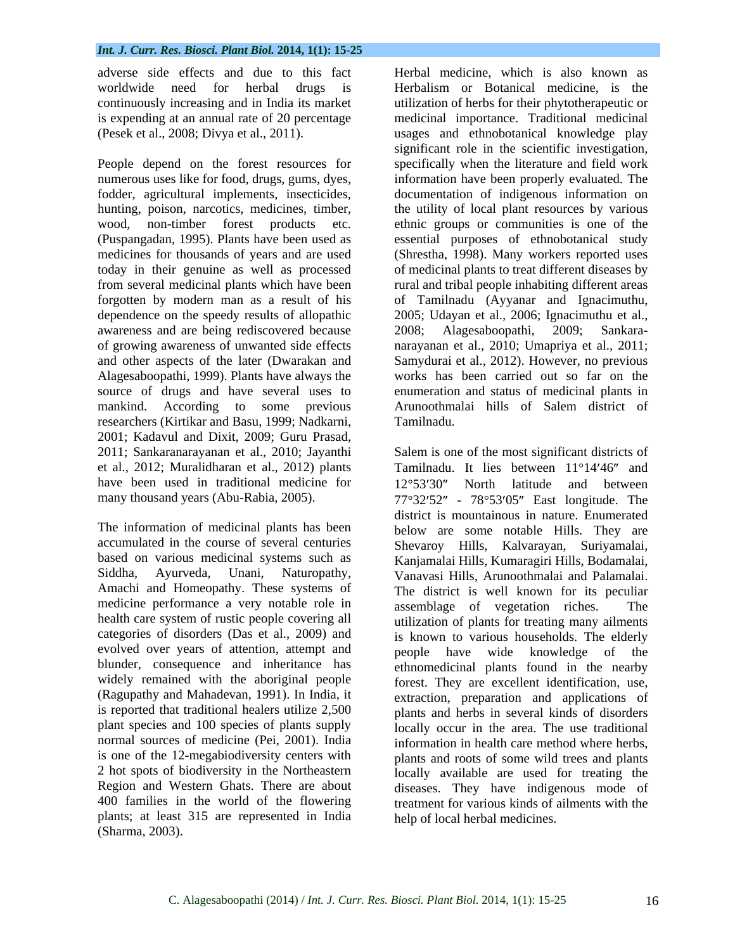adverse side effects and due to this fact worldwide need for herbal drugs is Herbalism or Botanical medicine, is the continuously increasing and in India its market

awareness and are being rediscovered because 2008; Alagesaboopathi, 2009; Sankaraof growing awareness of unwanted side effects researchers (Kirtikar and Basu, 1999; Nadkarni, 2001; Kadavul and Dixit, 2009; Guru Prasad, have been used in traditional medicine for  $12^{\circ}53'30''$  North latitude and between

medicine performance a very notable role in assemblage of vegetation riches. The health care system of rustic people covering all categories of disorders (Das et al., 2009) and evolved over years of attention, attempt and become have wide knowledge of the widely remained with the aboriginal people (Ragupathy and Mahadevan, 1991). In India, it Region and Western Ghats. There are about plants; at least 315 are represented in India

is expending at an annual rate of 20 percentage medicinal importance. Traditional medicinal (Pesek et al., 2008; Divya et al., 2011). usages and ethnobotanical knowledge play People depend on the forest resources for specifically when the literature and field work numerous uses like for food, drugs, gums, dyes, information have been properly evaluated. The fodder, agricultural implements, insecticides, documentation of indigenous information on hunting, poison, narcotics, medicines, timber, the utility of local plant resources by various wood, non-timber forest products etc. ethnic groups or communities is one of the (Puspangadan, 1995). Plants have been used as essential purposes of ethnobotanical study medicines for thousands of years and are used (Shrestha,1998). Many workers reported uses today in their genuine as well as processed of medicinal plants to treat different diseases by from several medicinal plants which have been rural and tribal people inhabiting different areas forgotten by modern man as a result of his of Tamilnadu (Ayyanar and Ignacimuthu, dependence on the speedy results of allopathic 2005; Udayan et al., 2006; Ignacimuthu et al., and other aspects of the later (Dwarakan and Samydurai etal., 2012). However, no previous Alagesaboopathi, 1999). Plants have always the works has been carried out so far on the source of drugs and have several uses to enumeration and status of medicinal plants in mankind. According to some previous Arunoothmalai hills of Salem district of Herbalism or Botanical medicine, is the utilization of herbs for their phytotherapeutic or significant role in the scientific investigation, 2008; Alagesaboopathi, 2009; Sankara narayanan et al., 2010; Umapriya et al., 2011; Tamilnadu.

2011; Sankaranarayanan et al., 2010; Jayanthi Salem is one of the most significant districtsof et al., 2012; Muralidharan et al., 2012) plants Tamilnadu. It lies between 11°14'46" and many thousand years (Abu-Rabia, 2005).  $77^{\circ}32'52'' - 78^{\circ}53'05''$  East longitude. The The information of medicinal plants has been below are some notable Hills. They are accumulated in the course of several centuries Shevaroy Hills, Kalvarayan, Suriyamalai, based on various medicinal systems such as Kanjamalai Hills, Kumaragiri Hills, Bodamalai, Siddha, Ayurveda, Unani, Naturopathy, Vanavasi Hills, Arunoothmalai and Palamalai. Amachi and Homeopathy. These systems of The district is well known for its peculiar blunder, consequence and inheritance has ethnomedicinal plants found in the nearby is reported that traditional healers utilize 2,500 plants and herbs in several kinds of disorders plant species and 100 species of plants supply  $\int$  iocally occur in the area. The use traditional normal sources of medicine (Pei, 2001). India information in health care method where herbs, is one of the 12-megabiodiversity centers with plants and roots of some wild trees and plants 2 hot spots of biodiversity in the Northeastern locally available are used for treating the 400 families in the world of the flowering treatment for various kinds of ailments with the aboves side effects und due to this fact the contain and a side is also known as a simulated and in the contained and indicate the simulated and indicate the simulated by the simulated by the simulated by the simulated by 12°53′30″ North latitude and between district is mountainous in nature. Enumerated assemblage of vegetation riches. utilization of plants for treating many ailments is known to various households. The elderly people have wide knowledge of forest. They are excellent identification, use, extraction, preparation and applications of diseases. They have indigenous mode of help of local herbal medicines.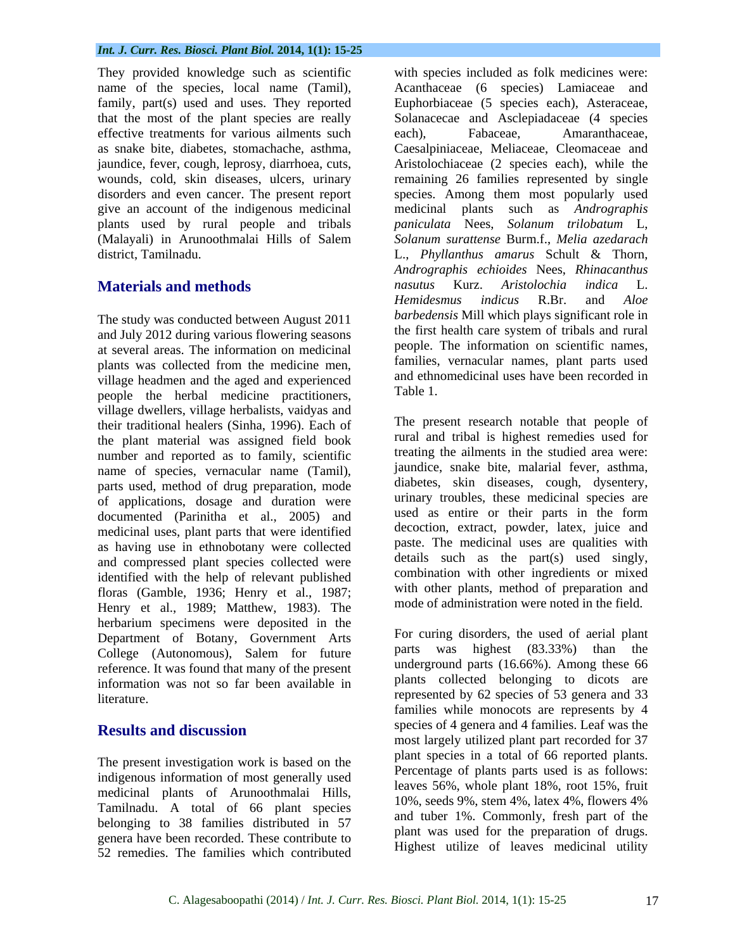They provided knowledge such as scientific effective treatments for various ailments such each). Fabaceae. Amaranthaceae. give an account of the indigenous medicinal

The study was conducted between August 2011 and July 2012 during various flowering seasons at several areas. The information on medicinal village headmen and the aged and experienced and ethn<br>negative the herbel medicine prestitioners. Table 1. people the herbal medicine practitioners, village dwellers, village herbalists, vaidyas and their traditional healers (Sinha, 1996). Each of the plant material was assigned field book number and reported as to family, scientific name of species, vernacular name (Tamil), parts used, method of drug preparation, mode of applications, dosage and duration were urinary troubles, these medicinal species are<br>documented (Parinitha et al. 2005) and used as entire or their parts in the form documented (Parinitha et al., 2005) and medicinal uses, plant parts that were identified as having use in ethnobotany were collected and compressed plant species collected were identified with the help of relevant published floras (Gamble, 1936; Henry et al., 1987; Henry et al., 1989; Matthew, 1983). The herbarium specimens were deposited in the Department of Botany, Government Arts<br>Colloge (Autonomous), Solom for future parts was highest (83.33%) than the College (Autonomous), Salem for future reference. It was found that many of the present information was not so far been available in

The present investigation work is based on the indigenous information of most generally used medicinal plants of Arunoothmalai Hills, Tamilnadu. A total of 66 plant species belonging to 38 families distributed in 57 genera have been recorded. These contribute to 52 remedies. The families which contributed

name of the species, local name (Tamil), Acanthaceae (6 species) Lamiaceae and family, part(s) used and uses. They reported Euphorbiaceae (5 species each), Asteraceae, that the most of the plant species are really Solanacecae and Asclepiadaceae (4 species as snake bite, diabetes, stomachache, asthma, Caesalpiniaceae, Meliaceae, Cleomaceae and jaundice, fever, cough, leprosy, diarrhoea, cuts, Aristolochiaceae (2 species each), while the wounds, cold, skin diseases, ulcers, urinary remaining 26 families represented by single disorders and even cancer. The present report species. Among them most popularly used plants used by rural people and tribals *paniculata* Nees, *Solanum trilobatum* L, (Malayali) in Arunoothmalai Hills of Salem Solanum surattense Burm.f., Melia azedarach district, Tamilnadu. L., *Phyllanthus amarus* Schult & Thorn,**Materials and methods and methods** *Materials and methods Materials and methods Memidesmus indicus* **R.Br.** and *Aloe* plants was collected from the medicine men, all ramilies, vernacular names, plant parts used with species included as folk medicines were: each), Fabaceae, Amaranthaceae, medicinal plants such as *Andrographis Solanum surattense* Burm.f., *Melia azedarach Andrographis echioides* Nees, *Rhinacanthus nasutus* Kurz. *Aristolochia indica* L. *Hemidesmus indicus* R.Br. and *Aloe barbedensis* Mill which plays significant role in the first health care system of tribals and rural people. The information on scientific names, families, vernacular names, plant parts used and ethnomedicinal uses have been recorded in Table 1.

> The present research notable that people of rural and tribal is highest remedies used for treating the ailments in the studied area were: jaundice, snake bite, malarial fever, asthma, diabetes, skin diseases, cough, dysentery, urinary troubles, these medicinal species are used as entire or their parts in the form decoction, extract, powder, latex, juice and paste. The medicinal uses are qualities with details such as the part(s) used singly, combination with other ingredients or mixed with other plants, method of preparation and mode of administration were noted in the field.

literature. The represented by 62 species of 53 genera and 33 **Results and discussion** Species of 4 genera and 4 families. Lear was the For curing disorders, the used of aerial plant parts was highest  $(83.33\%)$  than underground parts (16.66%). Among these 66 plants collected belonging to dicots are families while monocots are represents by 4 species of 4 genera and 4 families. Leaf was the most largely utilized plant part recorded for 37 plant species in a total of 66 reported plants. Percentage of plants parts used is as follows: leaves 56%, whole plant 18%, root 15%, fruit 10%, seeds 9%, stem 4%, latex 4%, flowers 4% and tuber 1%. Commonly, fresh part of the plant was used for the preparation of drugs. Highest utilize of leaves medicinal utility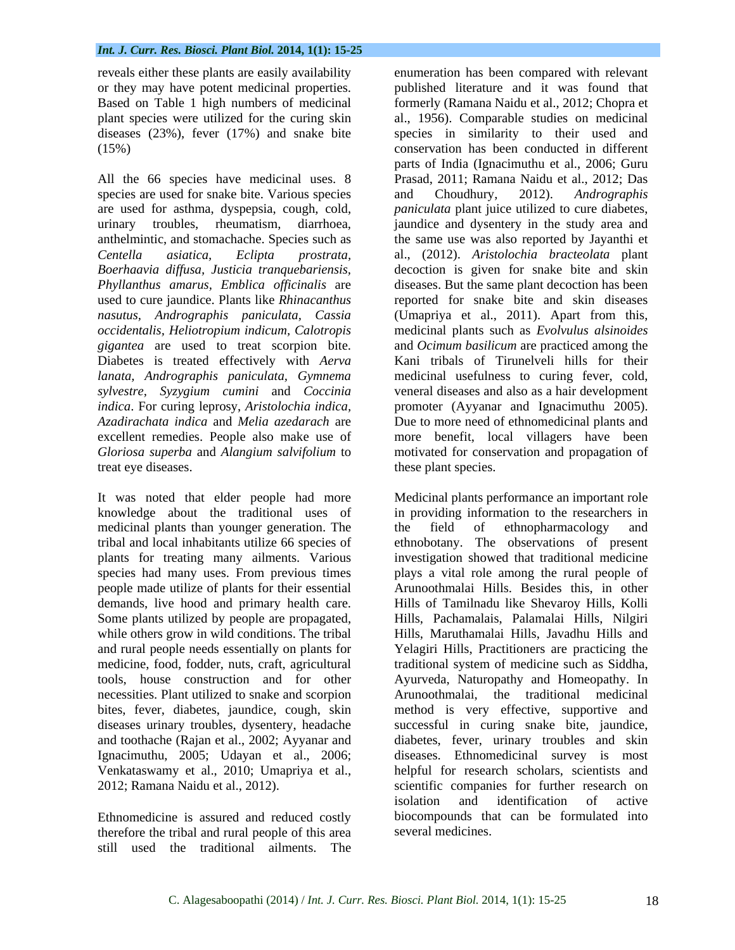species are used for snake bite. Various species and Choudhury, 2012). Andrographis *Phyllanthus amarus, Emblica of icinalis* are *gigantea* are used to treat scorpion bite. Diabetes is treated effectively with *Aerva indica*. For curing leprosy, *Aristolochia indica, Azadirachata indica* and *Melia azedarach* are treat eye diseases. these plant species.

medicinal plants than younger generation. The the field of ethnopharmacology and plants for treating many ailments. Various while others grow in wild conditions. The tribal and rural people needs essentially on plants for Ignacimuthu, 2005; Udayan et al., 2006; Venkataswamy et al., 2010; Umapriya et al.,

Ethnomedicine is assured and reduced costly therefore the tribal and rural people of this area still used the traditional ailments. The

reveals either these plants are easily availability enumeration has been compared with relevant or they may have potent medicinal properties. published literature and it was found that Based on Table 1 high numbers of medicinal formerly (Ramana Naidu et al., 2012; Chopra et plant species were utilized for the curing skin al., 1956). Comparable studies on medicinal diseases (23%), fever (17%) and snake bite species in similarity to their used and (15%) conservation has been conducted in different All the 66 species have medicinal uses. 8 Prasad, 2011; Ramana Naidu et al., 2012; Das are used for asthma, dyspepsia, cough, cold, *paniculata* plant juice utilized to cure diabetes, urinary troubles, rheumatism, diarrhoea, jaundice and dysentery in the study area and anthelmintic, and stomachache. Species such as the same use was also reported by Jayanthi et *Centella asiatica, Eclipta prostrata,* al., (2012). *Aristolochia bracteolata* plant *Boerhaavia dif usa, Justicia tranquebariensis,* decoction is given for snake bite and skin used to cure jaundice. Plants like *Rhinacanthus*  reported for snake bite and skin diseases *nasutus, Andrographis paniculata, Cassia* (Umapriya et al., 2011). Apart from this, *occidentalis, Heliotropium indicum, Calotropis* medicinal plants such as *Evolvulus alsinoides lanata, Andrographis paniculata, Gymnema* medicinal usefulness to curing fever, cold, *sylvestre, Syzygium cumini* and *Coccinia* veneral diseases and also as a hair development excellent remedies. People also make use of more benefit, local villagers have been *Gloriosa superba* and *Alangium salvifolium* to motivated for conservation and propagation of parts of India (Ignacimuthu et al., 2006; Guru and Choudhury, 2012). *Andrographis*  diseases. But the same plant decoction has been and *Ocimum basilicum* are practiced among the Kani tribals of Tirunelveli hills for their promoter (Ayyanar and Ignacimuthu 2005). Due to more need of ethnomedicinal plants and

It was noted that elder people had more Medicinal plants performance an important role knowledge about the traditional uses of in providing information to the researchers in tribal and local inhabitants utilize 66 species of ethnobotany. The observations of present species had many uses. From previous times plays a vital role among the rural people of people made utilize of plants for their essential Arunoothmalai Hills. Besides this, in other demands, live hood and primary health care. Hills of Tamilnadu like Shevaroy Hills, Kolli Some plants utilized by people are propagated, Hills, Pachamalais, Palamalai Hills, Nilgiri medicine, food, fodder, nuts, craft, agricultural traditional system of medicine such as Siddha, tools, house construction and for other Ayurveda, Naturopathy and Homeopathy. In necessities. Plant utilized to snake and scorpion Arunoothmalai, the traditional medicinal bites, fever, diabetes, jaundice, cough, skin method is very effective, supportive and diseases urinary troubles, dysentery, headache successful in curing snake bite, jaundice, and toothache (Rajan et al., 2002; Ayyanar and diabetes, fever, urinary troubles and skin 2012; Ramana Naidu et al., 2012). scientific companies for further research on the field of ethnopharmacology and investigation showed that traditional medicine Hills, Maruthamalai Hills, Javadhu Hills and Yelagiri Hills, Practitioners are practicing the diseases. Ethnomedicinal survey is most helpful for research scholars, scientists and isolation and identification of active biocompounds that can be formulated into several medicines.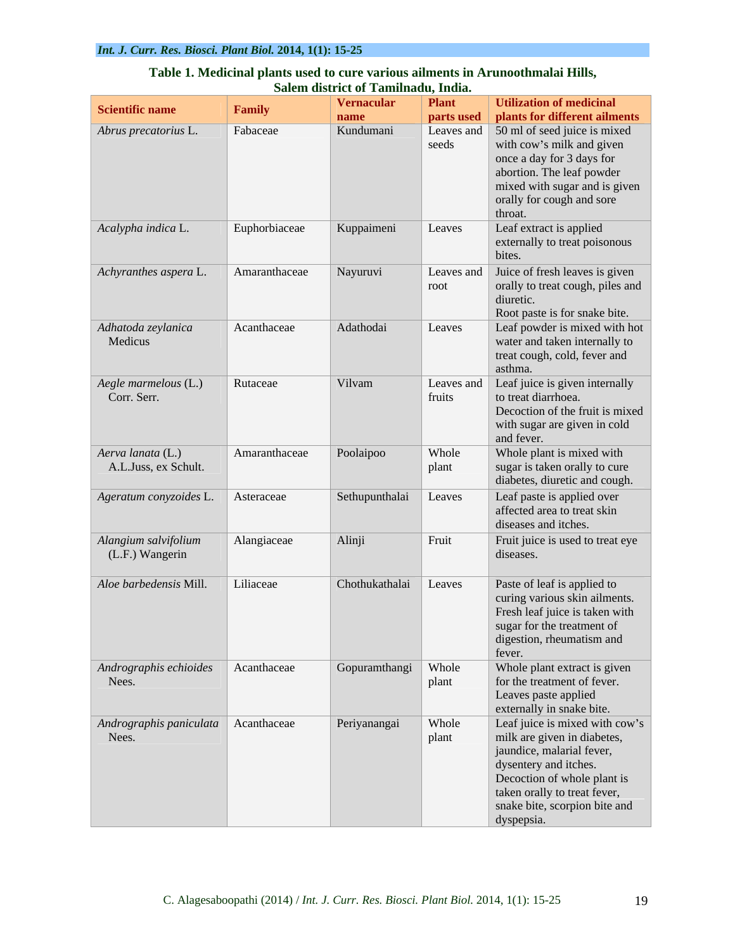|                                           | <u>манч</u>   | bu ict of Tann        | auu, muna.               |                                                                      |
|-------------------------------------------|---------------|-----------------------|--------------------------|----------------------------------------------------------------------|
| Scientific name                           | Family        | Vernacular            | <b>Plant</b>             | Utilization of medicinal                                             |
| Abrus precatorius L.                      | Fabaceae      | name<br>Kundumani     | parts used<br>Leaves and | <b>plants for different ailments</b><br>50 ml of seed juice is mixed |
|                                           |               |                       | seeds                    | with cow's milk and given                                            |
|                                           |               |                       |                          | once a day for 3 days for                                            |
|                                           |               |                       |                          | abortion. The leaf powder                                            |
|                                           |               |                       |                          | mixed with sugar and is given                                        |
|                                           |               |                       |                          | orally for cough and sore<br>throat.                                 |
| Acalypha indica L.                        | Euphorbiaceae | Kuppaimeni            | Leaves                   | Leaf extract is applied                                              |
|                                           |               |                       |                          | externally to treat poisonous                                        |
|                                           |               |                       |                          | bites.                                                               |
| Achyranthes aspera L.                     | Amaranthaceae | Nayuruvi              | Leaves and               | Juice of fresh leaves is given                                       |
|                                           |               |                       | root                     | orally to treat cough, piles and<br>diuretic.                        |
|                                           |               |                       |                          | Root paste is for snake bite.                                        |
| Adhatoda zeylanica                        | Acanthaceae   | Adathodai             | Leaves                   | Leaf powder is mixed with hot                                        |
| Medicus                                   |               |                       |                          | water and taken internally to                                        |
|                                           |               |                       |                          | treat cough, cold, fever and<br>asthma.                              |
| Aegle marmelous (L.)                      | Rutaceae      | Vilvam                |                          | Leaves and Leaf juice is given internally                            |
| Corr. Serr.                               |               |                       | fruits                   | to treat diarrhoea.                                                  |
|                                           |               |                       |                          | Decoction of the fruit is mixed                                      |
|                                           |               |                       |                          | with sugar are given in cold                                         |
|                                           |               |                       |                          | and fever.                                                           |
| Aerva lanata (L.)<br>A.L.Juss, ex Schult. | Amaranthaceae | Poolaipoo             | Whole<br>plant           | Whole plant is mixed with<br>sugar is taken orally to cure           |
|                                           |               |                       |                          | diabetes, diuretic and cough.                                        |
| Ageratum conyzoides L.                    | Asteraceae    | Sethupunthalai Leaves |                          | Leaf paste is applied over                                           |
|                                           |               |                       |                          | affected area to treat skin                                          |
|                                           |               |                       |                          | diseases and itches.                                                 |
| Alangium salvifolium                      | Alangiaceae   | Alinji                | Fruit                    | Fruit juice is used to treat eye                                     |
| (L.F.) Wangerin                           |               |                       |                          | diseases.                                                            |
| Aloe barbedensis Mill.                    | Liliaceae     | Chothukathalai Leaves |                          | Paste of leaf is applied to                                          |
|                                           |               |                       |                          | curing various skin ailments.                                        |
|                                           |               |                       |                          | Fresh leaf juice is taken with                                       |
|                                           |               |                       |                          | sugar for the treatment of                                           |
|                                           |               |                       |                          | digestion, rheumatism and<br>fever.                                  |
| Andrographis echioides                    | Acanthaceae   | Gopuramthangi Whole   |                          | Whole plant extract is given                                         |
| Nees.                                     |               |                       | plant                    | for the treatment of fever.                                          |
|                                           |               |                       |                          | Leaves paste applied                                                 |
|                                           |               |                       |                          | externally in snake bite.                                            |
| Andrographis paniculata Acanthaceae       |               | Periyanangai          | Whole                    | Leaf juice is mixed with cow's                                       |
| Nees.                                     |               |                       | plant                    | milk are given in diabetes,<br>jaundice, malarial fever,             |
|                                           |               |                       |                          | dysentery and itches.                                                |
|                                           |               |                       |                          | Decoction of whole plant is                                          |
|                                           |               |                       |                          | taken orally to treat fever,                                         |
|                                           |               |                       |                          | snake bite, scorpion bite and<br>dyspepsia.                          |
|                                           |               |                       |                          |                                                                      |

### **Table 1. Medicinal plants used to cure various ailments in Arunoothmalai Hills, Salem district of Tamilnadu, India.**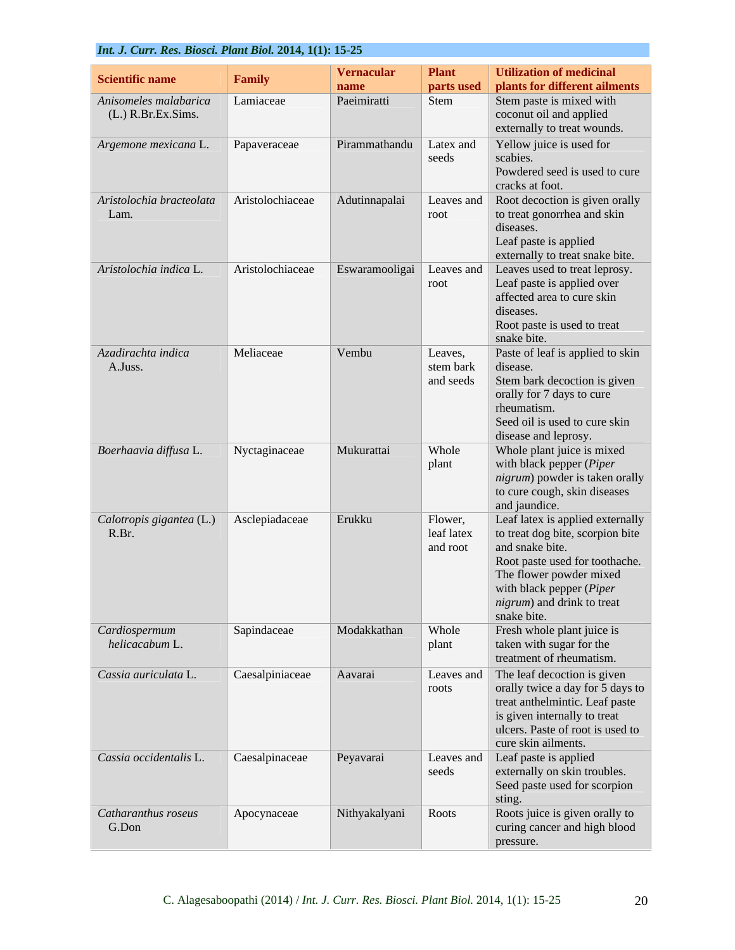|                                           | Int. J. Curr. Res. Biosci. Plant Biol. 2014, 1(1): 15-25 |                            |                        |                                                                                                      |  |  |
|-------------------------------------------|----------------------------------------------------------|----------------------------|------------------------|------------------------------------------------------------------------------------------------------|--|--|
| <b>Scientific name</b>                    | Family                                                   | <b>Vernacular</b>          | <b>Plant</b>           | Utilization of medicinal                                                                             |  |  |
| Anisomeles malabarica                     | Lamiaceae                                                | <b>name</b><br>Paeimiratti | parts used<br>Stem     | plants for different ailments<br>Stem paste is mixed with                                            |  |  |
| (L.) R.Br.Ex.Sims.                        |                                                          |                            |                        | coconut oil and applied                                                                              |  |  |
|                                           |                                                          |                            |                        | externally to treat wounds.                                                                          |  |  |
| Argemone mexicana L.                      | Papaveraceae                                             | Pirammathandu Latex and    | seeds                  | Yellow juice is used for<br>scabies.<br>Powdered seed is used to cure<br>cracks at foot.             |  |  |
| Aristolochia bracteolata Aristolochiaceae |                                                          | Adutinnapalai              |                        | Leaves and   Root decoction is given orally                                                          |  |  |
| Lam.                                      |                                                          |                            | root                   | to treat gonorrhea and skin<br>diseases.<br>Leaf paste is applied<br>externally to treat snake bite. |  |  |
| Aristolochia indica L.                    | Aristolochiaceae                                         |                            |                        | Eswaramooligai   Leaves and   Leaves used to treat leprosy.                                          |  |  |
|                                           |                                                          |                            | root                   | Leaf paste is applied over<br>affected area to cure skin<br>diseases.                                |  |  |
|                                           |                                                          |                            |                        | Root paste is used to treat<br>snake bite.                                                           |  |  |
| Azadirachta indica                        | Meliaceae                                                | Vembu                      | Leaves,                | Paste of leaf is applied to skin                                                                     |  |  |
| A.Juss.                                   |                                                          |                            | stem bark<br>and seeds | disease.<br>Stem bark decoction is given                                                             |  |  |
|                                           |                                                          |                            |                        | orally for 7 days to cure                                                                            |  |  |
|                                           |                                                          |                            |                        | rheumatism.                                                                                          |  |  |
|                                           |                                                          |                            |                        | Seed oil is used to cure skin<br>disease and leprosy.                                                |  |  |
| Boerhaavia diffusa L.                     | Nyctaginaceae                                            | Mukurattai                 | Whole                  | Whole plant juice is mixed                                                                           |  |  |
|                                           |                                                          |                            | plant                  | with black pepper (Piper<br>nigrum) powder is taken orally                                           |  |  |
|                                           |                                                          |                            |                        | to cure cough, skin diseases                                                                         |  |  |
|                                           | Asclepiadaceae                                           | Erukku                     | Flower,                | and jaundice.<br>Leaf latex is applied externally                                                    |  |  |
| Calotropis gigantea (L.)<br>R.Br.         |                                                          |                            | leaf latex             | to treat dog bite, scorpion bite                                                                     |  |  |
|                                           |                                                          |                            | and root               | and snake bite.                                                                                      |  |  |
|                                           |                                                          |                            |                        | Root paste used for toothache.<br>The flower powder mixed                                            |  |  |
|                                           |                                                          |                            |                        | with black pepper $(Piper)$                                                                          |  |  |
|                                           |                                                          |                            |                        | <i>nigrum</i> ) and drink to treat<br>snake bite.                                                    |  |  |
| Cardiospermum                             | Sapindaceae                                              | Modakkathan                | <b>Whole</b>           | Fresh whole plant juice is                                                                           |  |  |
| helicacabum L.                            |                                                          |                            | plant                  | taken with sugar for the                                                                             |  |  |
| Cassia auriculata L.                      | Caesalpiniaceae                                          | Aavarai                    | Leaves and             | treatment of rheumatism.<br>The leaf decoction is given                                              |  |  |
|                                           |                                                          |                            | roots                  | orally twice a day for 5 days to<br>treat anthelmintic. Leaf paste                                   |  |  |
|                                           |                                                          |                            |                        |                                                                                                      |  |  |
|                                           |                                                          |                            |                        | is given internally to treat<br>ulcers. Paste of root is used to                                     |  |  |
|                                           |                                                          |                            |                        | cure skin ailments.                                                                                  |  |  |
| Cassia occidentalis L.                    | Caesalpinaceae                                           | Peyavarai                  | seeds                  | Leaves and Leaf paste is applied<br>externally on skin troubles.                                     |  |  |
|                                           |                                                          |                            |                        | Seed paste used for scorpion                                                                         |  |  |
| Catharanthus roseus                       | Apocynaceae                                              | Nithyakalyani Roots        |                        | sting.<br>Roots juice is given orally to                                                             |  |  |
| G.Don                                     |                                                          |                            |                        | curing cancer and high blood<br>pressure.                                                            |  |  |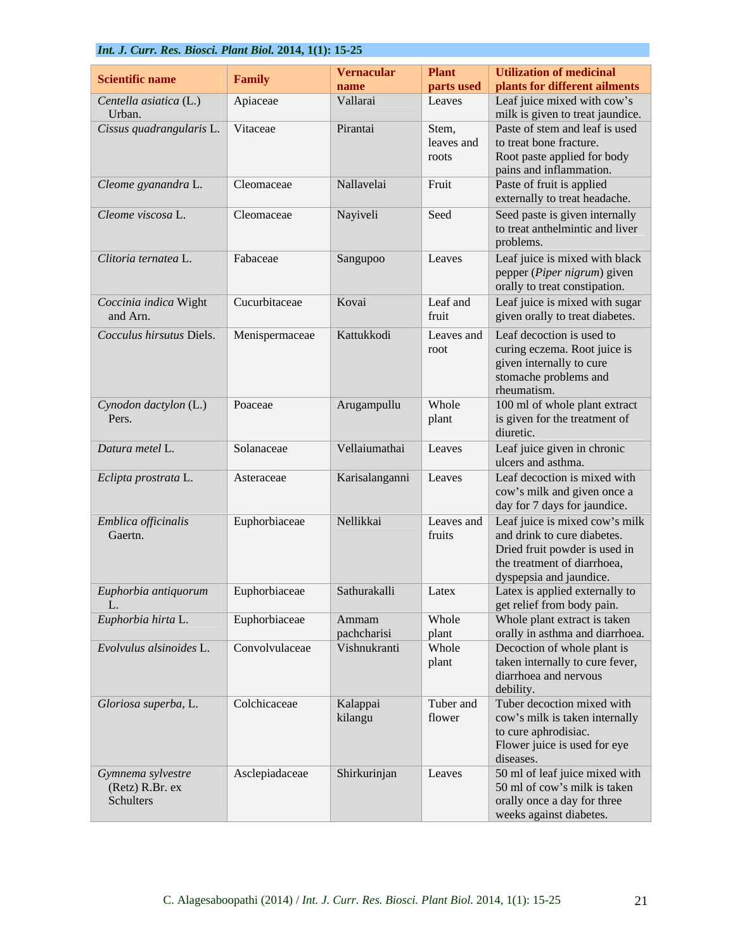| <b>Scientific name</b>            | Family         | Vernacular                  | <b>Plant</b>        | Utilization of medicinal                                        |
|-----------------------------------|----------------|-----------------------------|---------------------|-----------------------------------------------------------------|
|                                   |                | name                        | parts used          | plants for different ailments                                   |
| Centella asiatica (L.)<br>Urban.  | Apiaceae       | Vallarai                    | Leaves              | Leaf juice mixed with cow's<br>milk is given to treat jaundice. |
| Cissus quadrangularis L. Vitaceae |                | Pirantai                    | Stem,               | Paste of stem and leaf is used                                  |
|                                   |                |                             | leaves and          | to treat bone fracture.                                         |
|                                   |                |                             | roots               | Root paste applied for body                                     |
| Cleome gyanandra L.               | Cleomaceae     | Nallavelai                  | Fruit               | pains and inflammation.<br>Paste of fruit is applied            |
|                                   |                |                             |                     | externally to treat headache.                                   |
| Cleome viscosa L.                 | Cleomaceae     | Nayiveli                    | Seed                | Seed paste is given internally                                  |
|                                   |                |                             |                     | to treat anthelmintic and liver                                 |
|                                   |                |                             |                     | problems.                                                       |
| Clitoria ternatea L.              | Fabaceae       | Sangupoo                    | Leaves              | Leaf juice is mixed with black<br>pepper (Piper nigrum) given   |
|                                   |                |                             |                     | orally to treat constipation.                                   |
| Coccinia indica Wight             | Cucurbitaceae  | Kovai                       | Leaf and            | Leaf juice is mixed with sugar                                  |
| and Arn.                          |                |                             | fruit               | given orally to treat diabetes.                                 |
| Cocculus hirsutus Diels.          | Menispermaceae | Kattukkodi                  | Leaves and          | Leaf decoction is used to                                       |
|                                   |                |                             | root                | curing eczema. Root juice is                                    |
|                                   |                |                             |                     | given internally to cure<br>stomache problems and               |
|                                   |                |                             |                     | rheumatism.                                                     |
| Cynodon dactylon (L.)             | Poaceae        | Arugampullu                 | Whole               | 100 ml of whole plant extract                                   |
| Pers.                             |                |                             | plant               | is given for the treatment of<br>diuretic.                      |
| Datura metel L.                   | Solanaceae     | Vellaiumathai               | Leaves              | Leaf juice given in chronic                                     |
|                                   |                |                             |                     | ulcers and asthma.                                              |
| Eclipta prostrata L.              | Asteraceae     | Karisalanganni Leaves       |                     | Leaf decoction is mixed with                                    |
|                                   |                |                             |                     | cow's milk and given once a<br>day for 7 days for jaundice.     |
| Emblica officinalis               | Euphorbiaceae  | Nellikkai                   |                     | Leaves and Leaf juice is mixed cow's milk                       |
| Gaertn.                           |                |                             | fruits              | and drink to cure diabetes.                                     |
|                                   |                |                             |                     | Dried fruit powder is used in                                   |
|                                   |                |                             |                     | the treatment of diarrhoea,<br>dyspepsia and jaundice.          |
| Euphorbia antiquorum              | Euphorbiaceae  | Sathurakalli                | Latex               | Latex is applied externally to                                  |
| L.                                |                |                             |                     | get relief from body pain.                                      |
| Euphorbia hirta L.                | Euphorbiaceae  | Ammam                       | Whole               | Whole plant extract is taken                                    |
| Evolvulus alsinoides L.           | Convolvulaceae | pachcharisi<br>Vishnukranti | $ $ plant<br>Whole  | orally in asthma and diarrhoea.<br>Decoction of whole plant is  |
|                                   |                |                             | plant               | taken internally to cure fever,                                 |
|                                   |                |                             |                     | diarrhoea and nervous                                           |
|                                   |                |                             |                     | debility.                                                       |
| Gloriosa superba, L.              | Colchicaceae   | Kalappai<br>kilangu         | Tuber and<br>flower | Tuber decoction mixed with<br>cow's milk is taken internally    |
|                                   |                |                             |                     | to cure aphrodisiac.                                            |
|                                   |                |                             |                     | Flower juice is used for eye                                    |
|                                   | Asclepiadaceae | Shirkurinjan                | Leaves              | diseases.<br>50 ml of leaf juice mixed with                     |
| Gymnema sylvestre                 |                |                             |                     | 50 ml of cow's milk is taken                                    |
| (Retz) R.Br. ex<br>Schulters      |                |                             |                     | orally once a day for three                                     |
|                                   |                |                             |                     | weeks against diabetes.                                         |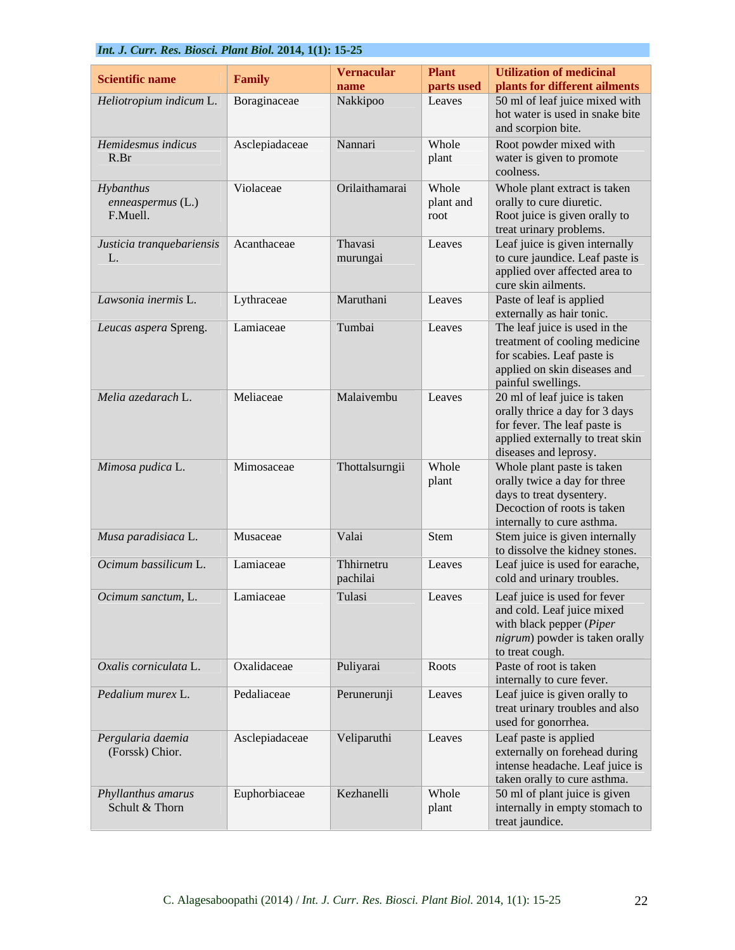| Scientific name                       | Family            | Vernacular     | <b>Plant</b> | <b>Utilization of medicinal</b>                              |
|---------------------------------------|-------------------|----------------|--------------|--------------------------------------------------------------|
|                                       |                   | name           | parts used   | plants for different ailments                                |
| Heliotropium indicum L.               | Boraginaceae      | Nakkipoo       | Leaves       | 50 ml of leaf juice mixed with                               |
|                                       |                   |                |              | hot water is used in snake bite<br>and scorpion bite.        |
| Hemidesmus indicus                    | Asclepiadaceae    | Nannari        | Whole        | Root powder mixed with                                       |
| R.Br                                  |                   |                | plant        | water is given to promote                                    |
|                                       |                   |                |              | coolness.                                                    |
| Hybanthus                             | Violaceae         | Orilaithamarai | Whole        | Whole plant extract is taken                                 |
| $enneaspermus$ (L.)                   |                   |                | plant and    | orally to cure diuretic.                                     |
| F.Muell.                              |                   |                | root         | Root juice is given orally to                                |
|                                       |                   |                |              | treat urinary problems.                                      |
| Justicia tranquebariensis Acanthaceae |                   | Thavasi        | Leaves       | Leaf juice is given internally                               |
|                                       |                   | murungai       |              | to cure jaundice. Leaf paste is                              |
|                                       |                   |                |              | applied over affected area to<br>cure skin ailments.         |
| Lawsonia inermis L                    | Lythraceae        | Maruthani      | Leaves       | Paste of leaf is applied                                     |
|                                       |                   |                |              | externally as hair tonic.                                    |
| Leucas aspera Spreng.                 | Lamiaceae         | Tumbai         | Leaves       | The leaf juice is used in the                                |
|                                       |                   |                |              | treatment of cooling medicine                                |
|                                       |                   |                |              | for scabies. Leaf paste is                                   |
|                                       |                   |                |              | applied on skin diseases and                                 |
| Melia azedarach L.                    | Meliaceae         | Malaivembu     | Leaves       | painful swellings.<br>20 ml of leaf juice is taken           |
|                                       |                   |                |              | orally thrice a day for 3 days                               |
|                                       |                   |                |              | for fever. The leaf paste is                                 |
|                                       |                   |                |              | applied externally to treat skin                             |
|                                       |                   |                |              | diseases and leprosy.                                        |
| Mimosa pudica L.                      | <b>Mimosaceae</b> | Thottalsurngii | Whole        | Whole plant paste is taken                                   |
|                                       |                   |                | plant        | orally twice a day for three                                 |
|                                       |                   |                |              | days to treat dysentery.                                     |
|                                       |                   |                |              | Decoction of roots is taken                                  |
| Musa paradisiaca L.                   | Musaceae          | Valai          | Stem         | internally to cure asthma.<br>Stem juice is given internally |
|                                       |                   |                |              | to dissolve the kidney stones.                               |
| Ocimum bassilicum L.                  | Lamiaceae         | Thhirnetru     | Leaves       | Leaf juice is used for earache,                              |
|                                       |                   | pachilai       |              | cold and urinary troubles.                                   |
| Ocimum sanctum, L. Lamiaceae          |                   | Tulasi         | Leaves       | Leaf juice is used for fever                                 |
|                                       |                   |                |              | and cold. Leaf juice mixed                                   |
|                                       |                   |                |              | with black pepper (Piper                                     |
|                                       |                   |                |              | nigrum) powder is taken orally                               |
|                                       |                   |                |              | to treat cough.                                              |
| Oxalis corniculata L.                 | Oxalidaceae       | Puliyarai      | Roots        | Paste of root is taken                                       |
| Pedalium murex L.                     | Pedaliaceae       | Perunerunji    | Leaves       | internally to cure fever.<br>Leaf juice is given orally to   |
|                                       |                   |                |              | treat urinary troubles and also                              |
|                                       |                   |                |              | used for gonorrhea.                                          |
| Pergularia daemia                     | Asclepiadaceae    | Veliparuthi    | Leaves       | Leaf paste is applied                                        |
| (Forssk) Chior.                       |                   |                |              | externally on forehead during                                |
|                                       |                   |                |              | intense headache. Leaf juice is                              |
|                                       |                   |                |              | taken orally to cure asthma.                                 |
| Phyllanthus amarus                    | Euphorbiaceae     | Kezhanelli     | Whole        | 50 ml of plant juice is given                                |
| Schult & Thorn                        |                   |                | plant        | internally in empty stomach to<br>treat jaundice.            |
|                                       |                   |                |              |                                                              |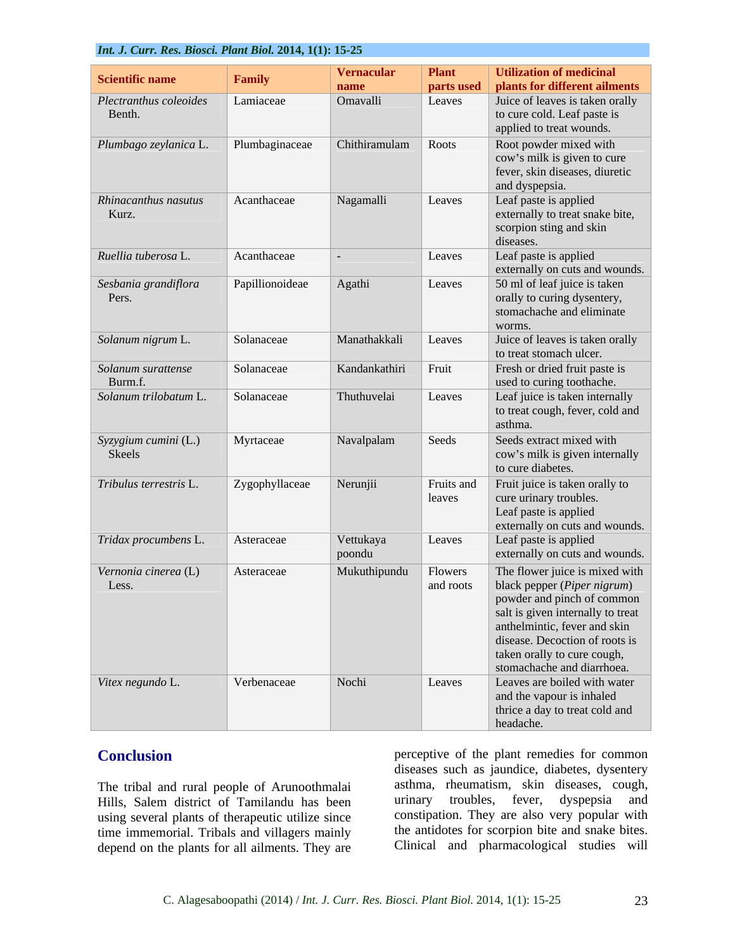|                        | <i>Int. J. Curr. Res. Diosci. I lant Diot. 2014, 1(1): 13-23</i> |                     |               |                                                                    |  |
|------------------------|------------------------------------------------------------------|---------------------|---------------|--------------------------------------------------------------------|--|
|                        |                                                                  | Vernacular          | <b>Plant</b>  | <b>Utilization of medicinal</b>                                    |  |
| Scientific name        | Family                                                           | name                | parts used    | plants for different ailments                                      |  |
| Plectranthus coleoides | Lamiaceae                                                        | Omavalli            | Leaves        | Juice of leaves is taken orally                                    |  |
| Benth.                 |                                                                  |                     |               | to cure cold. Leaf paste is                                        |  |
|                        |                                                                  |                     |               | applied to treat wounds.                                           |  |
| Plumbago zeylanica L.  | Plumbaginaceae                                                   | Chithiramulam Roots |               | Root powder mixed with                                             |  |
|                        |                                                                  |                     |               | cow's milk is given to cure                                        |  |
|                        |                                                                  |                     |               | fever, skin diseases, diuretic                                     |  |
|                        |                                                                  |                     |               | and dyspepsia.                                                     |  |
| Rhinacanthus nasutus   | Acanthaceae                                                      | Nagamalli           | Leaves        | Leaf paste is applied                                              |  |
| Kurz.                  |                                                                  |                     |               | externally to treat snake bite,                                    |  |
|                        |                                                                  |                     |               | scorpion sting and skin                                            |  |
|                        |                                                                  |                     |               | diseases.                                                          |  |
| Ruellia tuberosa L.    | Acanthaceae                                                      |                     | Leaves        | Leaf paste is applied                                              |  |
|                        |                                                                  |                     |               | externally on cuts and wounds.                                     |  |
| Sesbania grandiflora   | Papillionoideae                                                  | Agathi              | Leaves        | 50 ml of leaf juice is taken                                       |  |
| Pers.                  |                                                                  |                     |               | orally to curing dysentery,                                        |  |
|                        |                                                                  |                     |               | stomachache and eliminate                                          |  |
|                        |                                                                  |                     |               | worms.                                                             |  |
| Solanum nigrum L.      | Solanaceae                                                       | Manathakkali        | Leaves        | Juice of leaves is taken orally                                    |  |
|                        |                                                                  |                     |               | to treat stomach ulcer.                                            |  |
| Solanum surattense     | Solanaceae                                                       | Kandankathiri       | $\vert$ Fruit | Fresh or dried fruit paste is                                      |  |
| Burm.f.                |                                                                  |                     |               | used to curing toothache.                                          |  |
| Solanum trilobatum L   | Solanaceae                                                       | Thuthuvelai         | Leaves        | Leaf juice is taken internally                                     |  |
|                        |                                                                  |                     |               | to treat cough, fever, cold and                                    |  |
|                        |                                                                  |                     |               | asthma.                                                            |  |
| Syzygium cumini (L.)   | Myrtaceae                                                        | Navalpalam          | Seeds         | Seeds extract mixed with                                           |  |
| Skeels                 |                                                                  |                     |               | cow's milk is given internally                                     |  |
|                        |                                                                  |                     |               | to cure diabetes.                                                  |  |
| Tribulus terrestris L. | Zygophyllaceae                                                   | Nerunjii            | Fruits and    | Fruit juice is taken orally to                                     |  |
|                        |                                                                  |                     | leaves        | cure urinary troubles.                                             |  |
|                        |                                                                  |                     |               | Leaf paste is applied                                              |  |
|                        |                                                                  |                     |               | externally on cuts and wounds.                                     |  |
| Tridax procumbens L.   | Asteraceae                                                       | Vettukaya           | Leaves        | Leaf paste is applied                                              |  |
|                        |                                                                  | poondu              |               | externally on cuts and wounds.                                     |  |
| Vernonia cinerea (L)   | Asteraceae                                                       | Mukuthipundu        | Flowers       | The flower juice is mixed with                                     |  |
| Less.                  |                                                                  |                     | and roots     |                                                                    |  |
|                        |                                                                  |                     |               | black pepper ( <i>Piper nigrum</i> )<br>powder and pinch of common |  |
|                        |                                                                  |                     |               | salt is given internally to treat                                  |  |
|                        |                                                                  |                     |               | anthelmintic, fever and skin                                       |  |
|                        |                                                                  |                     |               | disease. Decoction of roots is                                     |  |
|                        |                                                                  |                     |               | taken orally to cure cough,                                        |  |
|                        |                                                                  |                     |               | stomachache and diarrhoea.                                         |  |
| Vitex negundo L.       | Verbenaceae                                                      | Nochi               | Leaves        | Leaves are boiled with water                                       |  |
|                        |                                                                  |                     |               | and the vapour is inhaled                                          |  |
|                        |                                                                  |                     |               | thrice a day to treat cold and                                     |  |
|                        |                                                                  |                     |               | headache.                                                          |  |

The tribal and rural people of Arunoothmalai Hills, Salem district of Tamilandu has been using several plants of therapeutic utilize since time immemorial. Tribals and villagers mainly depend on the plants for all ailments. They are

**Conclusion perceptive of the plant remedies for common** diseases such as jaundice, diabetes, dysentery asthma, rheumatism, skin diseases, cough, urinary troubles, fever, dyspepsia and constipation. They are also very popular with the antidotes for scorpion bite and snake bites. Clinical and pharmacological studies will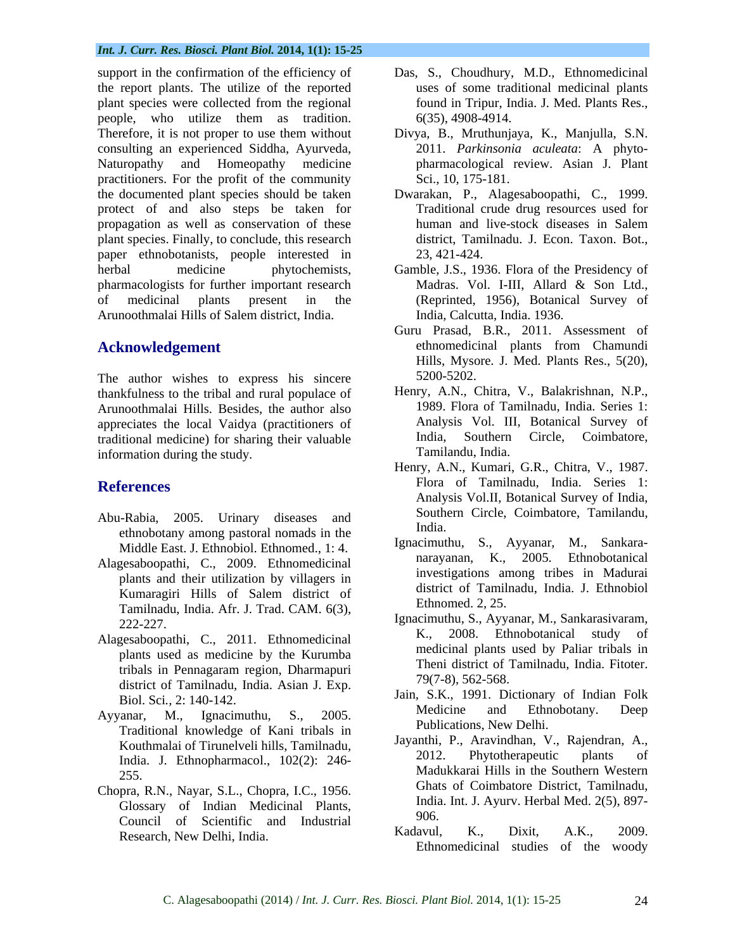support in the confirmation of the efficiency of the report plants. The utilize of the reported plant species were collected from the regional people, who utilize them as tradition. Therefore, it is not proper to use them without consulting an experienced Siddha, Ayurveda, 2011. *Parkinsonia aculeata*: A phyto- Naturopathy and Homeopathy medicine pharmacological review. Asian J. Plant practitioners. For the profit of the community the documented plant species should be taken protect of and also steps be taken for propagation as well as conservation of these plant species. Finally, to conclude, this research paper ethnobotanists, people interested in herbal medicine phytochemists, Gamble, J.S., 1936. Flora of the Presidency of pharmacologists for further important research Madras. Vol. I-III, Allard & Son Ltd., of medicinal plants present in the (Reprinted, 1956), Botanical Survey of Arunoothmalai Hills of Salem district, India.

The author wishes to express his sincere<br>thankfulness to the tribal and rural populace of Henry, A.N., Chitra, V., Balakrishnan, N.P., thankfulness to the tribal and rural populace of Henry, A.N., Chitra, V., Balakrishnan, N.P.,<br>Arunoothmalai Hills, Besides, the author also 1989. Flora of Tamilnadu, India. Series 1: Arunoothmalai Hills. Besides, the author also appreciates the local Vaidya (practitioners of analysis Vol. III, Botanical Survey of appreciates the local Vaidya (practitioners of analysis Vol. III, Botanical Survey of traditional medicine) for sharing their valuable a traditional medicine) for sharing their valuable information during the study.

- Abu-Rabia, 2005. Urinary diseases and southern extends to the lindia. ethnobotany among pastoral nomads in the
- Alagesaboopathi, C., 2009. Ethnomedicinal plants and their utilization by villagers in Kumaragiri Hills of Salem district of Tamilnadu, India. Afr. J. Trad. CAM. 6(3),<br>
222-227.<br> *Eumomed. 2, 23.*<br> *Ignacimuthu, S., Ayyanar, M., Sankarasivaram,*
- plants used as medicine by the Kurumba district of Tamilnadu, India. Asian J. Exp.
- Traditional knowledge of Kani tribals in Fubilizations, New Delhi.<br>
Fourthmals of Timpelysli bills Temilnedy Javanthi, P., Aravindhan, V., Rajendran, A., India. J. Ethnopharmacol., 102(2): 246-
- Chopra, R.N., Nayar, S.L., Chopra, I.C., 1956. Glossary of Indian Medicinal Plants, 1906.<br>Council of Scientific and Industrial 906. Council of Scientific and Industrial<br>Besearch New Delhi India (Kadavul, K., Dixit, A.K., 2009).
- Das, S., Choudhury, M.D., Ethnomedicinal uses of some traditional medicinal plants found in Tripur, India. J. Med. Plants Res., 6(35), 4908-4914.
- Divya, B., Mruthunjaya, K., Manjulla, S.N. Sci., 10, 175-181.
- Dwarakan, P., Alagesaboopathi, C., 1999. Traditional crude drug resources used for human and live-stock diseases in Salem district, Tamilnadu. J. Econ. Taxon. Bot., 23, 421-424.
- Madras. Vol. I-III, Allard & Son Ltd., India, Calcutta, India. 1936.
- **Acknowledgement** ethnomedicinal plants from Chamundi<br>Hills, Mysore. J. Med. Plants Res., 5(20), Guru Prasad, B.R., 2011. Assessment of ethnomedicinal plants from Chamundi Hills, Mysore. J. Med. Plants Res., 5(20), 5200-5202.
	- Henry, A.N., Chitra, V., Balakrishnan, N.P., 1989. Flora of Tamilnadu, India. Series 1: Analysis Vol. III, Botanical Survey of India, Southern Circle, Coimbatore, Tamilandu, India.
- **References** Flora of Tamilnadu, India. Series 1: Henry, A.N., Kumari, G.R., Chitra, V., 1987. Analysis Vol.II, Botanical Survey of India, Southern Circle, Coimbatore, Tamilandu, India.
	- Middle East. J. Ethnobiol. Ethnomed., 1: 4. Ignacimumu, S., Ayyanar, M., Sankara-Ignacimuthu, S., Ayyanar, M., Sankara narayanan, K.,  $2005$ . investigations among tribes in Madurai district of Tamilnadu, India. J. Ethnobiol Ethnomed. 2, 25.
- Alagesaboopathi, C., 2011. Ethnomedicinal K., 2008. Ethnobotanical study of tribals in Pennagaram region, Dharmapuri<br> $\frac{1}{28}$  and  $\frac{1}{28}$  and  $\frac{1}{28}$  and  $\frac{1}{28}$  and  $\frac{1}{28}$  and  $\frac{1}{28}$  and  $\frac{1}{28}$  and  $\frac{1}{28}$  and  $\frac{1}{28}$  and  $\frac{1}{28}$  and  $\frac{1}{28}$  and  $\frac{1}{28}$  and K., 2008. Ethnobotanical study medicinal plants used by Paliar tribals in Theni district of Tamilnadu, India. Fitoter. 79(7-8), 562-568.
- Biol. Sci*.,* 2: 140-142. Jain, S.K., 1991. Dictionary of Indian Folk Ayyanar, M., Ignacimuthu, S., 2005. Medicine and Ethnobotally. Deep Medicine and Ethnobotany. Deep Publications, New Delhi.
	- Kouthmalai of Tirunelveli hills, Tamilnadu,<br>
	Ladie L. Ethnonbermeesel (1020): 246 2012. Phytotherapeutic plants of 255. Madukkarai Hills in the Southern Western Jayanthi, P., Aravindhan, V., Rajendran, A., 2012. Phytotherapeutic plants of Ghats of Coimbatore District, Tamilnadu, India. Int. J. Ayurv. Herbal Med. 2(5), 897- 906.
	- Research, New Delhi, India.<br>
	Ethnomedicinal studies of the woody<br>
	Ethnomedicinal studies of the woody Kadavul, K., Dixit, A.K., 2009. Ethnomedicinal studies of the woody